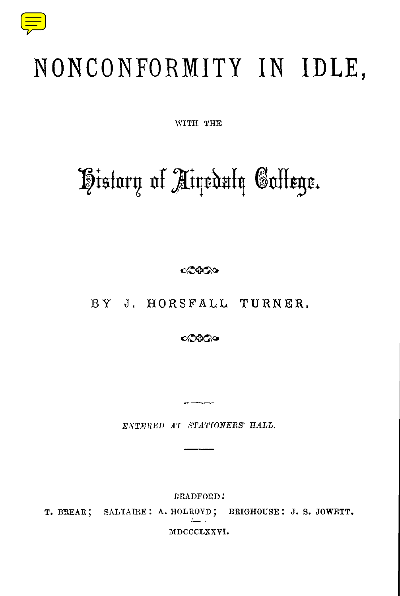

## NONCONFORMITY IN IDLE,

**WITH THE**

# History of Airedule Gollege.

000000

BY J. HORSFALL TURNER.

ంచినిన

*ENTERED AT STATIONERS' HALL.*

BRADFORD : T. BREAR; SALTAIRE: A. HOLROYD; BRIGHOUSE: J. S. JOWETT. MDCCCLXXVI.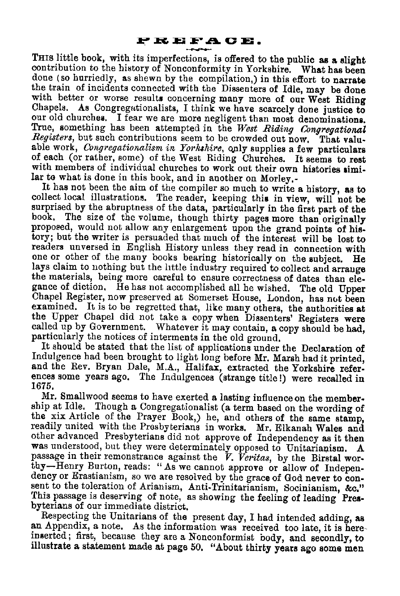<span id="page-1-0"></span>**THIS Iittle book, with its imperfections, is offered to the public as a slight contribution to the history of Nonconformity in Yorkshire . What has been done (so hurriedly, as shewn by the compilation,) in this effort to narrate the train of incidents connected with the Dissenters of Idle, may be done with better or worse results concerning many more of our West Riding Chapels. As Congregationalists, I think we have scarcely done justice to our old churches. I fear we are more negligent than most denominations. True, something has been attempted in the** *West Riding Congregational Registers, but such contributions seem to be crowded out now. That valuable work, Congregationalism in Yorkshire, on*ly supplies a few particulars of each (or rather, some) of the West Riding Churches. It seems to rest with members of individual churches to work out their own histories similar to what is done in this book, and in another on Morley.-

It has not been the aim of the compiler so much to write a history, as to collect local illustrations. The reader, keeping this in view, will not be surprised by the abruptness of the data, particularly in the first part of the book. The size of the volume, though thirty pages more than originally proposed, would not allow any enlargement upon the grand points of history; but the writer is persuaded that much of the interest will be lost to readers unversed in English History unless they read in connection with one or other of the many books bearing historically on the subject. He lays claim to nothing but the little industry required to collect and arrange the materials, being more careful to ensure correctness of dates than elegance of diction. He has not accomplished all he wished. The old Upper Chapel Register, now preserved at Somerset House, London, has not been examined. It is to be regretted that, like many others, the authorities at the Upper Chapel did not take a copy when Dissenters' Registers were called up by Government. Whatever it may contain, a copy should be had, particularly the notices of interments in the old ground.

It should be stated that the list of applications under the Declaration of Indulgence had been brought to light long before Mr. Marsh had it printed, and the Rev. Bryan Dale, M.A., Halifax, extracted the Yorkshire references some years ago. The Indulgences (strange title!) were recalled in 1675.

Mr. Smallwood seems to have exerted a lasting influence on the membership at Idle. Though a Congregationalist (a term based on the wording of the xix Article of the Prayer Book,) he, and others of the same stamp, readily united with the Presbyterians in works. Mr. Elkanah Wales and other advanced Presbyterians did not approve of Independency as it then was understood, but they were determinately opposed to Unitarianism. A passage in their remonstrance against the V. *Veritas, by the Birstal worthy—Henry Burton, reads: " As we cannot approve or allow of Indepen*dency or Erastianism, so we are resolved by the grace of God never to con*sent to the toleration of Arianism, Anti-Trinitarianism, Socinianism, &c ." This passage is deserving of note, as showing the feeling of leading Presbyterians of our immediate district.*

Respecting the Unitarians of the present day, I had intended adding, as an Appendix, a note. As the information was received too late, it is hereinserted ; first, because they are a Nonconformist body, and secondly, to illustrate a statement made at page <sup>50</sup> . "About thirty years ago some men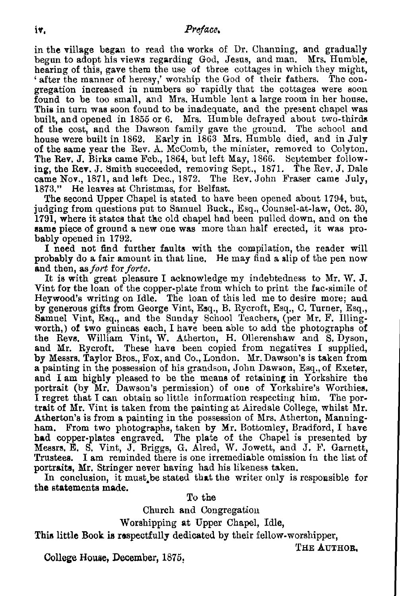#### iv . *Preface.*

in the village began to read the works of Dr . Channing, and gradually begun to adopt his views regarding God, Jesus, and man. Mrs. Humble, hearing of this, gave them the use of three cottages in which they might, ' after the manner of heresy,' worship the God of their fathers. The congregation increased in numbers so rapidly that the cottages were soon found to be too small, and Mrs. Humble lent a large room in her house. This in turn was soon found to be inadequate, and the present chapel was built, and opened in 1855 or 6. Mrs. Humble defrayed about two-thirds of the cost, and the Dawson family gave the ground. The school and house were built in 1862. Early in 1863 Mrs. Humble died, and in July of the same year the Rev . A. McComb, the minister, removed to Colyton. The Rev. J. Birks came Feb., 1864, but left May, 1866. September following, the Rev. J. Smith succeeded, removing Sept., 1871. The Rev. J. Dale came Nov., 1871, and left Dec., 1872 . The Rev. John Fraser came July, 1873." He leaves at Christmas, for Belfast.

The second Upper Chapel is stated to have been opened about 1794, but, judging from questions put to Samuel Buck., Esq., Counsel-at-law, Oct. 30, 1791, where it states that the old chapel had been pulled down, and on the same piece of ground a new one was more than half erected, it was probably opened in 1792.

I need not find further faults with the compilation, the reader will probably do a fair amount in that line. He may find a slip of the pen now and then, as*fort forforte .*

It is with great pleasure I acknowledge my indebtedness to Mr. W. J. Vint for the loan of the copper-plate from which to print the fac-simile of Heywood's writing on Idle. The loan of this led me to desire more; and by generous gifts from George Vint, Esq., B. Rycroft, Esq., C. Turner, Esq., Samuel Vint, Esq., and the Sunday School Teachers, (per Mr. F. Illingworth,) of two guineas each, I have been able to add the photographs of the Revs. William Vint, W. Atherton, H. Ollerenshaw and S. Dyson, and Mr. Rycroft. These have been copied from negatives I supplied, by Messrs, Taylor Bros., Fox, and Co., London. Mr. Dawson's is taken from a painting in the possession of his grandson, John Dawson, Esq., of Exeter, and I am highly pleased to be the means of retaining in Yorkshire the portrait (by Mr. Dawson's permission) of one of Yorkshire's Worthies. I regret that I can obtain so little information respecting him . The portrait of Mr. Vint is taken from the painting at Airedale College, whilst Mr. Atherton's is from a painting in the possession of Mrs. Atherton, Manningham. From two photographs, taken by Mr. Bottomley, Bradford, I have had copper-plates engraved. The plate of the Chapel is presented by Messrs. E. S. Vint, J. Briggs, G. Aired, W. Jowett, and J. F. Garnett, Trustees. I am reminded there is one irremediable omission in the list of portraits, Mr. Stringer never having had his likeness taken .

In conclusion, it must be stated that the writer only is responsible for the statements made.

To the

Church and Congregation

Worshipping at Upper Chapel, Idle,

This little Book is respectfully dedicated by their fellow-worshipper,

**THE AUTHOR ,**

**College House, December, 1875,**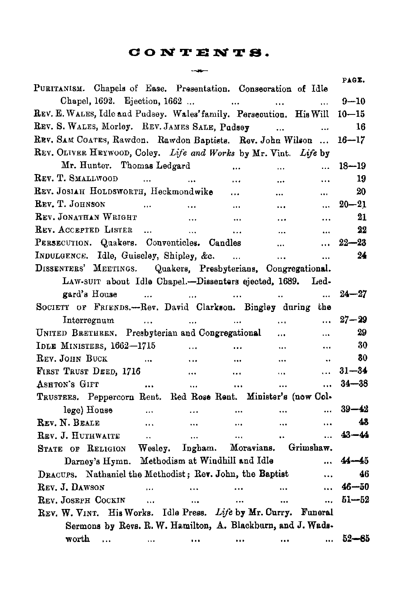## **CONTENTS .**  $-$

| PURITANISM. Chapels of Ease. Presentation. Consecration of Idle      |                          |                      |                      | PAGE.     |
|----------------------------------------------------------------------|--------------------------|----------------------|----------------------|-----------|
| Chapel, 1692. Ejection, 1662                                         | <b>Contract Contract</b> | $\cdots$             | $\ddotsc$            | $9 - 10$  |
| REV. E. WALES, Idle and Pudsey. Wales' family. Persecution. His Will |                          |                      |                      | $10 - 15$ |
| REV. S. WALES, Morley. REV. JAMES SALE, Pudsey                       |                          | $\ddotsc$            |                      | 16        |
| REV. SAM COATES, Rawdon. Rawdon Baptists. Rev. John Wilson           |                          |                      |                      | $16 - 17$ |
| REV. OLIVER HEYWOOD, Coley. Life and Works by Mr. Vint. Life by      |                          |                      |                      |           |
| Mr. Hunter. Thomas Ledgard                                           | $\cdots$                 | $\cdots$             | $\ddotsc$            | $18 - 19$ |
| REV. T. SMALLWOOD<br>$\ddotsc$<br><b>Contract Contract</b>           | $\cdots$                 | $\ddotsc$            |                      | 19        |
| REV. JOSIAH HOLDSWORTH, Heckmondwike                                 | $\cdots$                 | $\cdots$             | $\ddotsc$            | 20        |
| REV. T. JOHNSON<br>$\ddot{\phantom{a}}$<br>$\ddotsc$                 | $\ddotsc$                | $\cdots$             | $\ddotsc$            | $20 - 21$ |
| REV. JONATHAN WRIGHT<br>$\ddotsc$                                    | $\ddotsc$                |                      | $\cdots$             | 21        |
| REV. ACCEPTED LISTER<br>$\sim$<br>$\ddotsc$                          | $\ddotsc$                | $\ddotsc$            | $\ddotsc$            | 22        |
| PERSECUTION. Quakers. Conventicles. Candles                          |                          | $\cdots$             | $\ddotsc$            | $22 - 23$ |
| INDULGENCE. Idle, Guiseley, Shipley, &c.                             |                          | $\ddotsc$            |                      | 24        |
| DISSENTERS' MEETINGS. Quakers, Presbyterians, Congregational.        |                          |                      |                      |           |
| LAW-SUIT about Idle Chapel.-Dissenters ejected, 1689. Led-           |                          |                      |                      |           |
| gard's House<br>$\sim$<br>and the state of the state of the          | $\sim$ and $\sim$        |                      | $\ddotsc$            | $24 - 27$ |
| SOCIETY OF FRIENDS.--Rev. David Clarkson. Bingley during the         |                          |                      |                      |           |
| Interregnum<br>$\ddotsc$                                             |                          | $\cdots$             | $\cdots$             | $27 - 29$ |
| UNITED BRETHREN. Presbyterian and Congregational                     |                          |                      | $\ddotsc$            | 29        |
| IDLE MINISTERS, 1662-1715<br>$\cdots$                                |                          | $\cdots$             | .                    | 30        |
| REV. JOHN BUCK<br>$\cdots$                                           | $\ddotsc$                | $\cdots$             | $\ddotsc$            | 30        |
| FIRST TRUST DEED, 1716<br>$\cdots$                                   | $\ddotsc$                |                      | $\cdots$             | $31 - 34$ |
| ASHTON'S GIFT<br>$\cdots$                                            | $\cdots$<br>             | $\ddotsc$            |                      | $34 - 38$ |
| TRUSTEES. Peppercorn Rent. Red Rose Rent. Minister's (now Col-       |                          |                      |                      |           |
| lege) House<br><b>Contract Contract</b>                              | $\cdots$                 | $\cdots$<br>         | $\ddot{\phantom{a}}$ | $39 - 42$ |
| REV. N. BEALE<br>$\cdots$                                            | $\cdots$                 | <br>$\cdots$         |                      | 48        |
| REV. J. HUTHWAITE<br>$\ddot{\phantom{a}}$                            | $\ddotsc$                | $\ddotsc$<br>        | $\ddotsc$            | $43 - 44$ |
| STATE OF RELIGION Wesley. Ingham. Moravians. Grimshaw.               |                          |                      |                      |           |
| Darney's Hymn. Methodism at Windhill and Idle                        |                          |                      |                      | $44 - 45$ |
| DRACUPS. Nathaniel the Methodist; Rev. John, the Baptist             |                          |                      | $\ddotsc$            | 46        |
| REV. J. DAWSON<br>$\ddot{\phantom{a}}$                               | $\cdots$                 | $\cdots$<br>         |                      | $46 - 50$ |
| REV. JOSEPH COCKIN<br>$\cdots$                                       | $\cdots$                 | $\ddotsc$<br>        |                      | $51 - 52$ |
| REV. W. VINT. His Works. Idle Press. Life by Mr. Curry. Funeral      |                          |                      |                      |           |
| Sermons by Revs. R. W. Hamilton, A. Blackburn, and J. Wads-          |                          |                      |                      |           |
| worth<br>$\cdots$<br>$\cdots$                                        | $\cdots$                 | $\cdots$<br>$\cdots$ | $\cdots$             | $52 - 85$ |